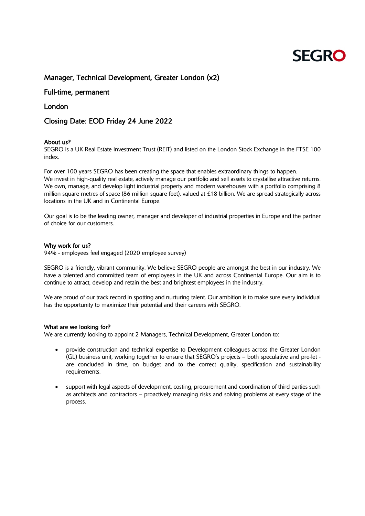# **SFGRO**

## Manager, Technical Development, Greater London (x2)

## Full-time, permanent

## London

## Closing Date: EOD Friday 24 June 2022

#### About us?

SEGRO is a UK Real Estate Investment Trust (REIT) and listed on the London Stock Exchange in the FTSE 100 index.

For over 100 years SEGRO has been creating the space that enables extraordinary things to happen. We invest in high-quality real estate, actively manage our portfolio and sell assets to crystallise attractive returns. We own, manage, and develop light industrial property and modern warehouses with a portfolio comprising 8 million square metres of space (86 million square feet), valued at £18 billion. We are spread strategically across locations in the UK and in Continental Europe.

Our goal is to be the leading owner, manager and developer of industrial properties in Europe and the partner of choice for our customers.

#### Why work for us?

94% - employees feel engaged (2020 employee survey)

SEGRO is a friendly, vibrant community. We believe SEGRO people are amongst the best in our industry. We have a talented and committed team of employees in the UK and across Continental Europe. Our aim is to continue to attract, develop and retain the best and brightest employees in the industry.

We are proud of our track record in spotting and nurturing talent. Our ambition is to make sure every individual has the opportunity to maximize their potential and their careers with SEGRO.

#### What are we looking for?

We are currently looking to appoint 2 Managers, Technical Development, Greater London to:

- provide construction and technical expertise to Development colleagues across the Greater London (GL) business unit, working together to ensure that SEGRO's projects – both speculative and pre-let are concluded in time, on budget and to the correct quality, specification and sustainability requirements.
- support with legal aspects of development, costing, procurement and coordination of third parties such as architects and contractors – proactively managing risks and solving problems at every stage of the process.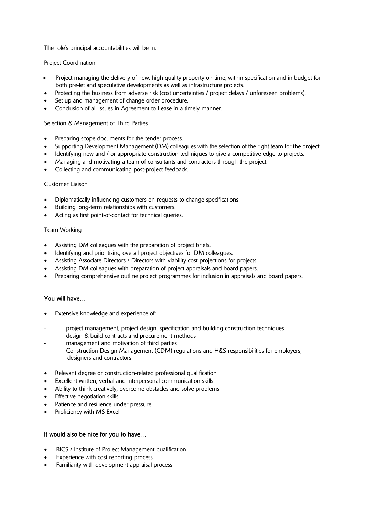The role's principal accountabilities will be in:

#### Project Coordination

- Project managing the delivery of new, high quality property on time, within specification and in budget for both pre-let and speculative developments as well as infrastructure projects.
- Protecting the business from adverse risk (cost uncertainties / project delays / unforeseen problems).
- Set up and management of change order procedure.
- Conclusion of all issues in Agreement to Lease in a timely manner.

#### Selection & Management of Third Parties

- Preparing scope documents for the tender process.
- Supporting Development Management (DM) colleagues with the selection of the right team for the project.
- Identifying new and / or appropriate construction techniques to give a competitive edge to projects.
- Managing and motivating a team of consultants and contractors through the project.
- Collecting and communicating post-project feedback.

#### Customer Liaison

- Diplomatically influencing customers on requests to change specifications.
- Building long-term relationships with customers.
- Acting as first point-of-contact for technical queries.

#### Team Working

- Assisting DM colleagues with the preparation of project briefs.
- Identifying and prioritising overall project objectives for DM colleagues.
- Assisting Associate Directors / Directors with viability cost projections for projects
- Assisting DM colleagues with preparation of project appraisals and board papers.
- Preparing comprehensive outline project programmes for inclusion in appraisals and board papers.

#### You will have…

- Extensive knowledge and experience of:
- project management, project design, specification and building construction techniques
- design & build contracts and procurement methods
- management and motivation of third parties
- Construction Design Management (CDM) regulations and H&S responsibilities for employers, designers and contractors
- Relevant degree or construction-related professional qualification
- Excellent written, verbal and interpersonal communication skills
- Ability to think creatively, overcome obstacles and solve problems
- Effective negotiation skills
- Patience and resilience under pressure
- Proficiency with MS Excel

#### It would also be nice for you to have…

- RICS / Institute of Project Management qualification
- Experience with cost reporting process
- Familiarity with development appraisal process